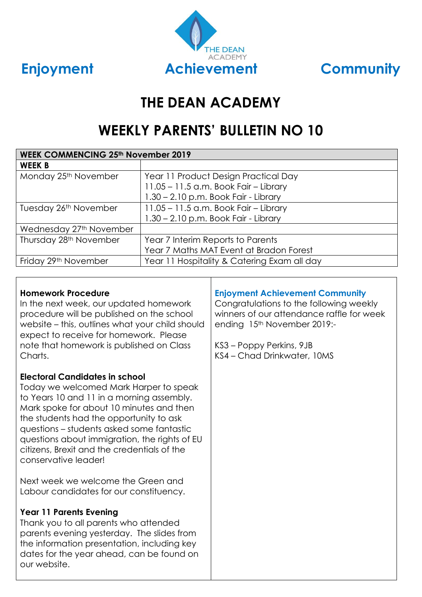

## **THE DEAN ACADEMY**

## **WEEKLY PARENTS' BULLETIN NO 10**

| <b>WEEK COMMENCING 25th November 2019</b> |                                             |  |  |
|-------------------------------------------|---------------------------------------------|--|--|
| <b>WEEK B</b>                             |                                             |  |  |
| Monday 25 <sup>th</sup> November          | Year 11 Product Design Practical Day        |  |  |
|                                           | 11.05 - 11.5 a.m. Book Fair - Library       |  |  |
|                                           | 1.30 - 2.10 p.m. Book Fair - Library        |  |  |
| Tuesday 26th November                     | $11.05 - 11.5$ a.m. Book Fair - Library     |  |  |
|                                           | $1.30 - 2.10$ p.m. Book Fair - Library      |  |  |
| Wednesday 27th November                   |                                             |  |  |
| Thursday 28 <sup>th</sup> November        | Year 7 Interim Reports to Parents           |  |  |
|                                           | Year 7 Maths MAT Event at Bradon Forest     |  |  |
| Friday 29th November                      | Year 11 Hospitality & Catering Exam all day |  |  |

#### **Homework Procedure**

In the next week, our updated homework procedure will be published on the school website – this, outlines what your child should expect to receive for homework. Please note that homework is published on Class Charts.

#### **Electoral Candidates in school**

Today we welcomed Mark Harper to speak to Years 10 and 11 in a morning assembly. Mark spoke for about 10 minutes and then the students had the opportunity to ask questions – students asked some fantastic questions about immigration, the rights of EU citizens, Brexit and the credentials of the conservative leader!

Next week we welcome the Green and Labour candidates for our constituency.

### **Year 11 Parents Evening**

Thank you to all parents who attended parents evening yesterday. The slides from the information presentation, including key dates for the year ahead, can be found on our website.

### **Enjoyment Achievement Community**

Congratulations to the following weekly winners of our attendance raffle for week ending 15th November 2019:-

KS3 – Poppy Perkins, 9JB KS4 – Chad Drinkwater, 10MS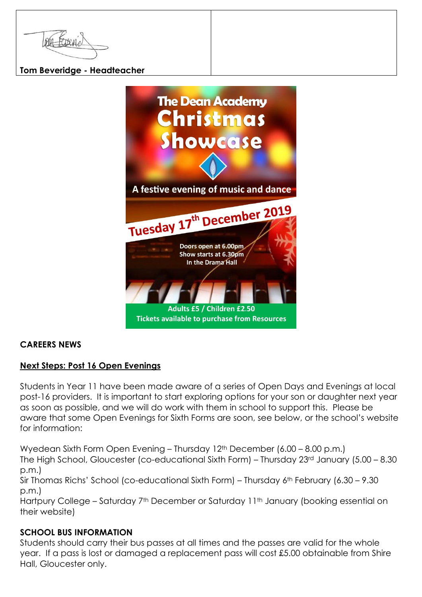#### **Tom Beveridge - Headteacher**



#### **CAREERS NEWS**

#### **Next Steps: Post 16 Open Evenings**

Students in Year 11 have been made aware of a series of Open Days and Evenings at local post-16 providers. It is important to start exploring options for your son or daughter next year as soon as possible, and we will do work with them in school to support this. Please be aware that some Open Evenings for Sixth Forms are soon, see below, or the school's website for information:

Wyedean Sixth Form Open Evening – Thursday 12<sup>th</sup> December (6.00 – 8.00 p.m.) The High School, Gloucester (co-educational Sixth Form) – Thursday 23rd January (5.00 – 8.30 p.m.) Sir Thomas Richs' School (co-educational Sixth Form) – Thursday 6th February (6.30 – 9.30 p.m.) Hartpury College – Saturday 7<sup>th</sup> December or Saturday 11<sup>th</sup> January (booking essential on

# their website)

#### **SCHOOL BUS INFORMATION**

Students should carry their bus passes at all times and the passes are valid for the whole year. If a pass is lost or damaged a replacement pass will cost £5.00 obtainable from Shire Hall, Gloucester only.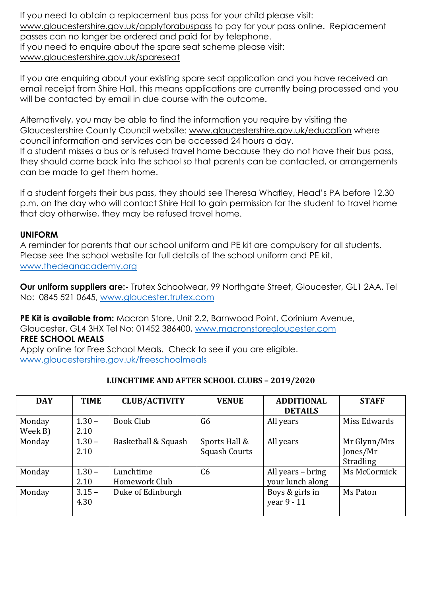If you need to obtain a replacement bus pass for your child please visit: [www.gloucestershire.gov.uk/applyforabuspass](http://www.gloucestershire.gov.uk/applyforabuspass) to pay for your pass online. Replacement passes can no longer be ordered and paid for by telephone. If you need to enquire about the spare seat scheme please visit: [www.gloucestershire.gov.uk/spareseat](http://www.gloucestershire.gov.uk/spareseat)

If you are enquiring about your existing spare seat application and you have received an email receipt from Shire Hall, this means applications are currently being processed and you will be contacted by email in due course with the outcome.

Alternatively, you may be able to find the information you require by visiting the Gloucestershire County Council website: [www.gloucestershire.gov.uk/education](http://www.gloucestershire.gov.uk/education) where council information and services can be accessed 24 hours a day. If a student misses a bus or is refused travel home because they do not have their bus pass, they should come back into the school so that parents can be contacted, or arrangements can be made to get them home.

If a student forgets their bus pass, they should see Theresa Whatley, Head's PA before 12.30 p.m. on the day who will contact Shire Hall to gain permission for the student to travel home that day otherwise, they may be refused travel home.

#### **UNIFORM**

A reminder for parents that our school uniform and PE kit are compulsory for all students. Please see the school website for full details of the school uniform and PE kit. [www.thedeanacademy.org](http://www.thedeanacademy.org/)

**Our uniform suppliers are:-** Trutex Schoolwear, 99 Northgate Street, Gloucester, GL1 2AA, Tel No: 0845 521 0645, [www.gloucester.trutex.com](http://www.gloucester.trutex.com/)

**PE Kit is available from:** Macron Store, Unit 2.2, Barnwood Point, Corinium Avenue, Gloucester, GL4 3HX Tel No: 01452 386400, [www.macronstoregloucester.com](http://www.macronstoregloucester.com/) **FREE SCHOOL MEALS**

Apply online for Free School Meals. Check to see if you are eligible. [www.gloucestershire.gov.uk/freeschoolmeals](http://www.gloucestershire.gov.uk/freeschoolmeals)

| <b>DAY</b> | <b>TIME</b> | <b>CLUB/ACTIVITY</b> | <b>VENUE</b>         | <b>ADDITIONAL</b> | <b>STAFF</b>     |
|------------|-------------|----------------------|----------------------|-------------------|------------------|
|            |             |                      |                      | <b>DETAILS</b>    |                  |
| Monday     | $1.30 -$    | Book Club            | G6                   | All years         | Miss Edwards     |
| Week B)    | 2.10        |                      |                      |                   |                  |
| Monday     | $1.30 -$    | Basketball & Squash  | Sports Hall &        | All years         | Mr Glynn/Mrs     |
|            | 2.10        |                      | <b>Squash Courts</b> |                   | Jones/Mr         |
|            |             |                      |                      |                   | <b>Stradling</b> |
| Monday     | $1.30 -$    | Lunchtime            | C <sub>6</sub>       | All years – bring | Ms McCormick     |
|            | 2.10        | Homework Club        |                      | your lunch along  |                  |
| Monday     | $3.15 -$    | Duke of Edinburgh    |                      | Boys & girls in   | Ms Paton         |
|            | 4.30        |                      |                      | year 9 - 11       |                  |
|            |             |                      |                      |                   |                  |

#### **LUNCHTIME AND AFTER SCHOOL CLUBS – 2019/2020**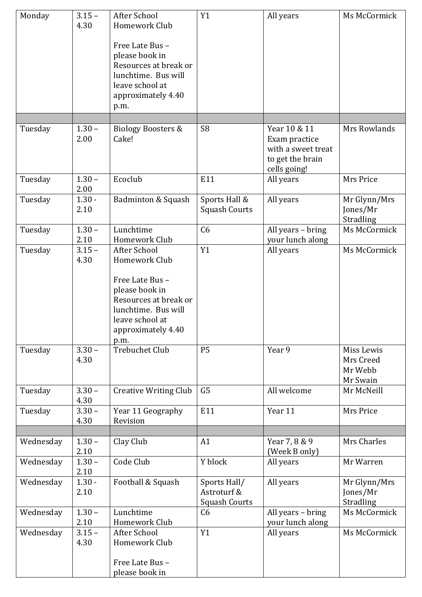| Monday    | $3.15 -$<br>4.30 | After School<br>Homework Club                                                                                                      | Y1                                                  | All years                                                                               | Ms McCormick                                   |
|-----------|------------------|------------------------------------------------------------------------------------------------------------------------------------|-----------------------------------------------------|-----------------------------------------------------------------------------------------|------------------------------------------------|
|           |                  | Free Late Bus -<br>please book in<br>Resources at break or<br>lunchtime. Bus will<br>leave school at<br>approximately 4.40<br>p.m. |                                                     |                                                                                         |                                                |
|           |                  |                                                                                                                                    | S <sub>8</sub>                                      |                                                                                         |                                                |
| Tuesday   | $1.30 -$<br>2.00 | <b>Biology Boosters &amp;</b><br>Cake!                                                                                             |                                                     | Year 10 & 11<br>Exam practice<br>with a sweet treat<br>to get the brain<br>cells going! | Mrs Rowlands                                   |
| Tuesday   | $1.30 -$<br>2.00 | Ecoclub                                                                                                                            | E11                                                 | All years                                                                               | Mrs Price                                      |
| Tuesday   | $1.30 -$<br>2.10 | Badminton & Squash                                                                                                                 | Sports Hall &<br><b>Squash Courts</b>               | All years                                                                               | Mr Glynn/Mrs<br>Jones/Mr<br>Stradling          |
| Tuesday   | $1.30 -$<br>2.10 | Lunchtime<br>Homework Club                                                                                                         | C6                                                  | All years - bring<br>your lunch along                                                   | Ms McCormick                                   |
| Tuesday   | $3.15 -$<br>4.30 | After School<br>Homework Club                                                                                                      | Y1                                                  | All years                                                                               | Ms McCormick                                   |
|           |                  | Free Late Bus -<br>please book in<br>Resources at break or<br>lunchtime. Bus will<br>leave school at<br>approximately 4.40<br>p.m. |                                                     |                                                                                         |                                                |
| Tuesday   | $3.30 -$<br>4.30 | <b>Trebuchet Club</b>                                                                                                              | <b>P5</b>                                           | Year 9                                                                                  | Miss Lewis<br>Mrs Creed<br>Mr Webb<br>Mr Swain |
| Tuesday   | $3.30 -$<br>4.30 | <b>Creative Writing Club</b>                                                                                                       | G <sub>5</sub>                                      | All welcome                                                                             | Mr McNeill                                     |
| Tuesday   | $3.30 -$<br>4.30 | Year 11 Geography<br>Revision                                                                                                      | E11                                                 | Year 11                                                                                 | Mrs Price                                      |
| Wednesday | $1.30 -$         | Clay Club                                                                                                                          | A1                                                  | Year 7, 8 & 9                                                                           | Mrs Charles                                    |
|           | 2.10             |                                                                                                                                    |                                                     | (Week B only)                                                                           |                                                |
| Wednesday | $1.30 -$<br>2.10 | Code Club                                                                                                                          | Y block                                             | All years                                                                               | Mr Warren                                      |
| Wednesday | $1.30 -$<br>2.10 | Football & Squash                                                                                                                  | Sports Hall/<br>Astroturf &<br><b>Squash Courts</b> | All years                                                                               | Mr Glynn/Mrs<br>Jones/Mr<br>Stradling          |
| Wednesday | $1.30 -$<br>2.10 | Lunchtime<br>Homework Club                                                                                                         | C6                                                  | All years - bring<br>your lunch along                                                   | Ms McCormick                                   |
| Wednesday | $3.15 -$<br>4.30 | After School<br>Homework Club<br>Free Late Bus -                                                                                   | Y1                                                  | All years                                                                               | Ms McCormick                                   |
|           |                  | please book in                                                                                                                     |                                                     |                                                                                         |                                                |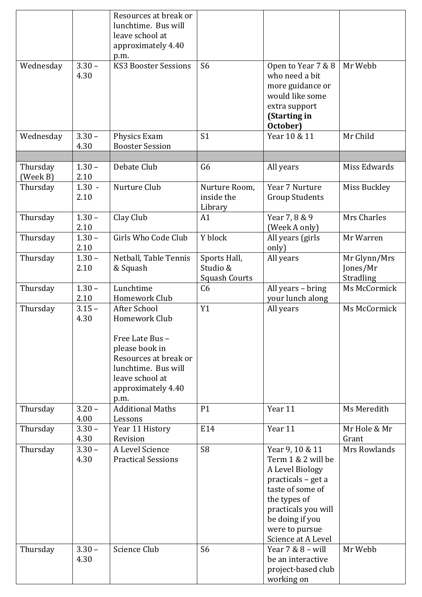|           |          | Resources at break or       |                      |                       |              |
|-----------|----------|-----------------------------|----------------------|-----------------------|--------------|
|           |          | lunchtime. Bus will         |                      |                       |              |
|           |          | leave school at             |                      |                       |              |
|           |          | approximately 4.40          |                      |                       |              |
|           |          | p.m.                        |                      |                       |              |
| Wednesday | $3.30 -$ | <b>KS3 Booster Sessions</b> | S <sub>6</sub>       | Open to Year 7 & 8    | Mr Webb      |
|           | 4.30     |                             |                      | who need a bit        |              |
|           |          |                             |                      | more guidance or      |              |
|           |          |                             |                      | would like some       |              |
|           |          |                             |                      | extra support         |              |
|           |          |                             |                      | (Starting in          |              |
|           |          |                             |                      | October)              |              |
| Wednesday | $3.30 -$ | Physics Exam                | S <sub>1</sub>       | Year 10 & 11          | Mr Child     |
|           | 4.30     | <b>Booster Session</b>      |                      |                       |              |
|           |          |                             |                      |                       |              |
| Thursday  | $1.30 -$ | Debate Club                 | G <sub>6</sub>       | All years             | Miss Edwards |
| (Week B)  | 2.10     |                             |                      |                       |              |
| Thursday  | $1.30 -$ | Nurture Club                | Nurture Room,        | Year 7 Nurture        | Miss Buckley |
|           | 2.10     |                             | inside the           | <b>Group Students</b> |              |
|           |          |                             | Library              |                       |              |
| Thursday  | $1.30 -$ | Clay Club                   | A1                   | Year 7, 8 & 9         | Mrs Charles  |
|           | 2.10     |                             |                      | (Week A only)         |              |
| Thursday  | $1.30 -$ | Girls Who Code Club         | Y block              | All years (girls      | Mr Warren    |
|           | 2.10     |                             |                      | only)                 |              |
| Thursday  | $1.30 -$ | Netball, Table Tennis       | Sports Hall,         | All years             | Mr Glynn/Mrs |
|           | 2.10     | & Squash                    | Studio &             |                       | Jones/Mr     |
|           |          |                             | <b>Squash Courts</b> |                       | Stradling    |
| Thursday  | $1.30 -$ | Lunchtime                   | C <sub>6</sub>       | All years - bring     | Ms McCormick |
|           | 2.10     | Homework Club               |                      | your lunch along      |              |
| Thursday  | $3.15 -$ | After School                | Y1                   | All years             | Ms McCormick |
|           | 4.30     | Homework Club               |                      |                       |              |
|           |          |                             |                      |                       |              |
|           |          | Free Late Bus -             |                      |                       |              |
|           |          | please book in              |                      |                       |              |
|           |          | Resources at break or       |                      |                       |              |
|           |          | lunchtime. Bus will         |                      |                       |              |
|           |          | leave school at             |                      |                       |              |
|           |          | approximately 4.40          |                      |                       |              |
|           |          | p.m.                        |                      |                       |              |
| Thursday  | $3.20 -$ | <b>Additional Maths</b>     | P1                   | Year 11               | Ms Meredith  |
|           | 4.00     | Lessons                     |                      |                       |              |
| Thursday  | $3.30 -$ | Year 11 History             | E14                  | Year 11               | Mr Hole & Mr |
|           | 4.30     | Revision                    |                      |                       | Grant        |
| Thursday  | $3.30 -$ | A Level Science             | S <sub>8</sub>       | Year 9, 10 & 11       | Mrs Rowlands |
|           | 4.30     | <b>Practical Sessions</b>   |                      | Term 1 & 2 will be    |              |
|           |          |                             |                      | A Level Biology       |              |
|           |          |                             |                      | practicals – get a    |              |
|           |          |                             |                      | taste of some of      |              |
|           |          |                             |                      | the types of          |              |
|           |          |                             |                      | practicals you will   |              |
|           |          |                             |                      | be doing if you       |              |
|           |          |                             |                      | were to pursue        |              |
|           |          |                             |                      | Science at A Level    |              |
| Thursday  | $3.30 -$ | Science Club                | S <sub>6</sub>       | Year $7 & 8 -$ will   | Mr Webb      |
|           | 4.30     |                             |                      | be an interactive     |              |
|           |          |                             |                      | project-based club    |              |
|           |          |                             |                      | working on            |              |